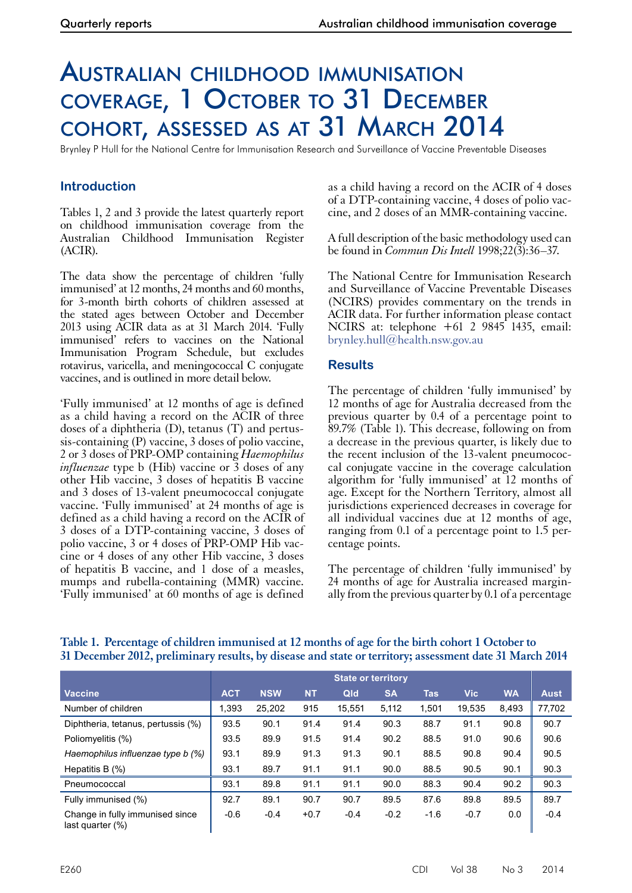# Australian childhood immunisation coverage, 1 October to 31 December cohort, assessed as at 31 March 2014

Brynley P Hull for the National Centre for Immunisation Research and Surveillance of Vaccine Preventable Diseases

# **Introduction**

Tables 1, 2 and 3 provide the latest quarterly report on childhood immunisation coverage from the Australian Childhood Immunisation Register (ACIR).

The data show the percentage of children 'fully immunised' at 12 months, 24 months and 60 months, for 3-month birth cohorts of children assessed at the stated ages between October and December 2013 using ACIR data as at 31 March 2014. 'Fully immunised' refers to vaccines on the National Immunisation Program Schedule, but excludes rotavirus, varicella, and meningococcal C conjugate vaccines, and is outlined in more detail below.

'Fully immunised' at 12 months of age is defined as a child having a record on the ACIR of three doses of a diphtheria (D), tetanus (T) and pertussis-containing (P) vaccine, 3 doses of polio vaccine, 2 or 3 doses of PRP-OMP containing *Haemophilus influenzae* type b (Hib) vaccine or 3 doses of any other Hib vaccine, 3 doses of hepatitis B vaccine and 3 doses of 13-valent pneumococcal conjugate vaccine. 'Fully immunised' at 24 months of age is defined as a child having a record on the ACIR of 3 doses of a DTP-containing vaccine, 3 doses of polio vaccine, 3 or 4 doses of PRP-OMP Hib vac- cine or 4 doses of any other Hib vaccine, 3 doses of hepatitis B vaccine, and 1 dose of a measles, mumps and rubella-containing (MMR) vaccine. 'Fully immunised' at 60 months of age is defined

as a child having a record on the ACIR of 4 doses of a DTP-containing vaccine, 4 doses of polio vaccine, and 2 doses of an MMR-containing vaccine.

A full description of the basic methodology used can be found in *Commun Dis Intell* 1998;22(3):36–37.

The National Centre for Immunisation Research and Surveillance of Vaccine Preventable Diseases (NCIRS) provides commentary on the trends in ACIR data. For further information please contact NCIRS at: telephone +61 2 9845 1435, email: [brynley.hull@health.nsw.gov.au](mailto:brynley.hull@health.nsw.gov.au)

## **Results**

The percentage of children 'fully immunised' by 12 months of age for Australia decreased from the previous quarter by 0.4 of a percentage point to 89.7% (Table 1). This decrease, following on from a decrease in the previous quarter, is likely due to the recent inclusion of the 13-valent pneumococcal conjugate vaccine in the coverage calculation algorithm for 'fully immunised' at 12 months of age. Except for the Northern Territory, almost all jurisdictions experienced decreases in coverage for all individual vaccines due at 12 months of age, ranging from 0.1 of a percentage point to 1.5 per-<br>centage points.

The percentage of children 'fully immunised' by <sup>24</sup> months of age for Australia increased margin- ally from the previous quarter by 0.1 of a percentage

|                                                        | <b>State or territory</b> |            |           |        |           |            |            |           |             |
|--------------------------------------------------------|---------------------------|------------|-----------|--------|-----------|------------|------------|-----------|-------------|
| <b>Vaccine</b>                                         | <b>ACT</b>                | <b>NSW</b> | <b>NT</b> | Qld    | <b>SA</b> | <b>Tas</b> | <b>Vic</b> | <b>WA</b> | <b>Aust</b> |
| Number of children                                     | 1,393                     | 25,202     | 915       | 15,551 | 5,112     | 1,501      | 19,535     | 8.493     | 77,702      |
| Diphtheria, tetanus, pertussis (%)                     | 93.5                      | 90.1       | 91.4      | 91.4   | 90.3      | 88.7       | 91.1       | 90.8      | 90.7        |
| Poliomyelitis (%)                                      | 93.5                      | 89.9       | 91.5      | 91.4   | 90.2      | 88.5       | 91.0       | 90.6      | 90.6        |
| Haemophilus influenzae type b (%)                      | 93.1                      | 89.9       | 91.3      | 91.3   | 90.1      | 88.5       | 90.8       | 90.4      | 90.5        |
| Hepatitis B (%)                                        | 93.1                      | 89.7       | 91.1      | 91.1   | 90.0      | 88.5       | 90.5       | 90.1      | 90.3        |
| Pneumococcal                                           | 93.1                      | 89.8       | 91.1      | 91.1   | 90.0      | 88.3       | 90.4       | 90.2      | 90.3        |
| Fully immunised (%)                                    | 92.7                      | 89.1       | 90.7      | 90.7   | 89.5      | 87.6       | 89.8       | 89.5      | 89.7        |
| Change in fully immunised since<br>last quarter $(\%)$ | $-0.6$                    | $-0.4$     | $+0.7$    | $-0.4$ | $-0.2$    | $-1.6$     | $-0.7$     | 0.0       | $-0.4$      |

# **Table 1. Percentage of children immunised at 12 months of age for the birth cohort 1 October to 31 December 2012, preliminary results, by disease and state or territory; assessment date 31 March 2014**